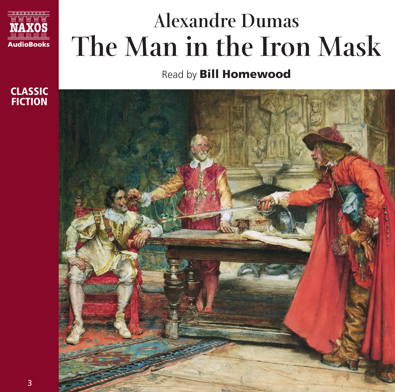

# **Alexandre Dumas The Man in the Iron Mask**

Read by **Bill Homewood**



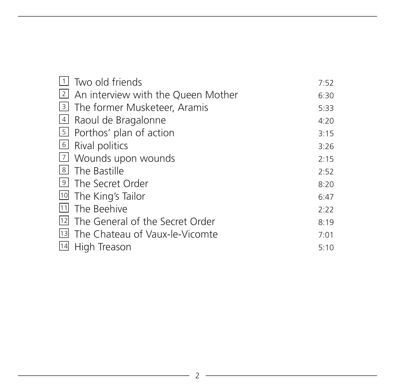|    | Two old friends                      | 7:52 |
|----|--------------------------------------|------|
|    | 2 An interview with the Queen Mother | 6:30 |
|    | 3 The former Musketeer, Aramis       | 5:33 |
|    | 4 Raoul de Bragalonne                | 4:20 |
|    | 5 Porthos' plan of action            | 3:15 |
|    | $\boxed{6}$ Rival politics           | 3:26 |
|    | [7] Wounds upon wounds               | 2:15 |
|    | 8 The Bastille                       | 2:52 |
|    | <sup>9</sup> The Secret Order        | 8:20 |
|    | <sup>10</sup> The King's Tailor      | 6:47 |
|    | [11] The Beehive                     | 2:22 |
| 12 | The General of the Secret Order      | 8:19 |
|    | [13] The Chateau of Vaux-le-Vicomte  | 7:01 |
| 14 | High Treason                         | 5:10 |

<u> 1989 - Johann Barn, amerikansk politiker (</u>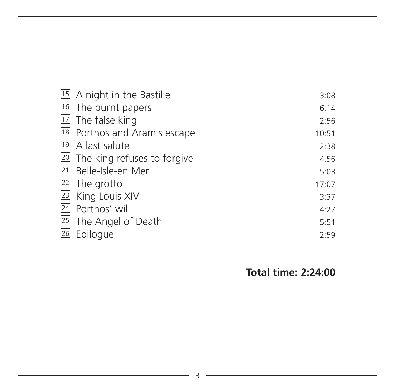| 15 A night in the Bastille     | 3:08  |
|--------------------------------|-------|
| 16 The burnt papers            | 6:14  |
| $17$ The false king            | 2:56  |
| 18 Porthos and Aramis escape   | 10:51 |
| 19 A last salute               | 2:38  |
| 20 The king refuses to forgive | 4:56  |
| 21 Belle-Isle-en Mer           | 5:03  |
| 22 The grotto                  | 17:07 |
| 23 King Louis XIV              | 3:37  |
| 24 Porthos' will               | 4:27  |
| 25 The Angel of Death          | 5:51  |
| 26 Epilogue                    | 2:59  |

**Total time: 2:24:00**

<u> 1989 - Johann Barbara, martin a</u>

the control of the control of the control of the control of the control of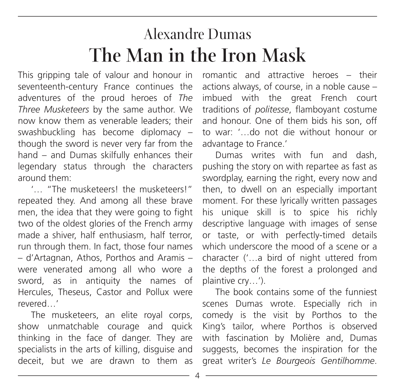### Alexandre Dumas **The Man in the Iron Mask**

This gripping tale of valour and honour in seventeenth-century France continues the adventures of the proud heroes of *The Three Musketeers* by the same author. We now know them as venerable leaders; their swashbuckling has become diplomacy – though the sword is never very far from the hand – and Dumas skilfully enhances their legendary status through the characters around them:

'… "The musketeers! the musketeers!" repeated they. And among all these brave men, the idea that they were going to fight two of the oldest glories of the French army made a shiver, half enthusiasm, half terror, run through them. In fact, those four names – d'Artagnan, Athos, Porthos and Aramis – were venerated among all who wore a sword, as in antiquity the names of Hercules, Theseus, Castor and Pollux were revered…'

The musketeers, an elite royal corps, show unmatchable courage and quick thinking in the face of danger. They are specialists in the arts of killing, disguise and deceit, but we are drawn to them as romantic and attractive heroes – their actions always, of course, in a noble cause – imbued with the great French court traditions of *politesse*, flamboyant costume and honour. One of them bids his son, off to war: '…do not die without honour or advantage to France.'

Dumas writes with fun and dash, pushing the story on with repartee as fast as swordplay, earning the right, every now and then, to dwell on an especially important moment. For these lyrically written passages his unique skill is to spice his richly descriptive language with images of sense or taste, or with perfectly-timed details which underscore the mood of a scene or a character ('…a bird of night uttered from the depths of the forest a prolonged and plaintive cry…').

The book contains some of the funniest scenes Dumas wrote. Especially rich in comedy is the visit by Porthos to the King's tailor, where Porthos is observed with fascination by Molière and, Dumas suggests, becomes the inspiration for the great writer's *Le Bourgeois Gentilhomme*.

4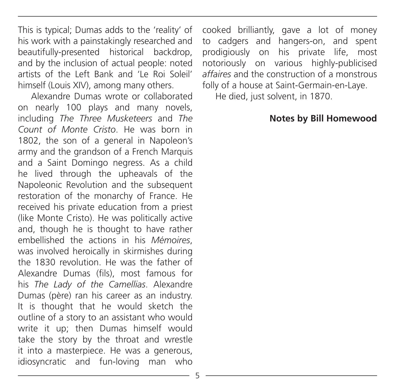This is typical; Dumas adds to the 'reality' of his work with a painstakingly researched and beautifully-presented historical backdrop, and by the inclusion of actual people: noted artists of the Left Bank and 'Le Roi Soleil' himself (Louis XIV), among many others.

Alexandre Dumas wrote or collaborated on nearly 100 plays and many novels, including *The Three Musketeers* and *The Count of Monte Cristo*. He was born in 1802, the son of a general in Napoleon's army and the grandson of a French Marquis and a Saint Domingo negress. As a child he lived through the upheavals of the Napoleonic Revolution and the subsequent restoration of the monarchy of France. He received his private education from a priest (like Monte Cristo). He was politically active and, though he is thought to have rather embellished the actions in his *Mémoires*, was involved heroically in skirmishes during the 1830 revolution. He was the father of Alexandre Dumas (fils), most famous for his *The Lady of the Camellias*. Alexandre Dumas (père) ran his career as an industry. It is thought that he would sketch the outline of a story to an assistant who would write it up; then Dumas himself would take the story by the throat and wrestle it into a masterpiece. He was a generous, idiosyncratic and fun-loving man who

cooked brilliantly, gave a lot of money to cadgers and hangers-on, and spent prodigiously on his private life, most notoriously on various highly-publicised *affaires* and the construction of a monstrous folly of a house at Saint-Germain-en-Laye.

He died, just solvent, in 1870.

#### **Notes by Bill Homewood**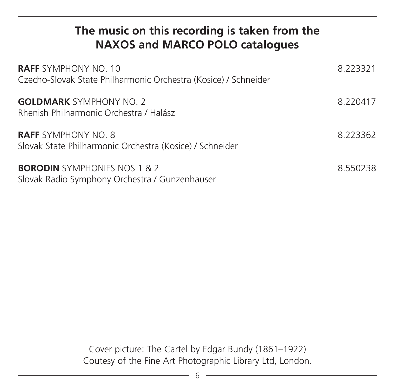### **The music on this recording is taken from the NAXOS and MARCO POLO catalogues**

| <b>RAFF</b> SYMPHONY NO. 10<br>Czecho-Slovak State Philharmonic Orchestra (Kosice) / Schneider | 8.223321 |
|------------------------------------------------------------------------------------------------|----------|
| <b>GOLDMARK</b> SYMPHONY NO. 2<br>Rhenish Philharmonic Orchestra / Halász                      | 8.220417 |
| <b>RAFF</b> SYMPHONY NO. 8<br>Slovak State Philharmonic Orchestra (Kosice) / Schneider         | 8.223362 |
| <b>BORODIN</b> SYMPHONIES NOS 1 & 2<br>Slovak Radio Symphony Orchestra / Gunzenhauser          | 8.550238 |

Cover picture: The Cartel by Edgar Bundy (1861–1922) Coutesy of the Fine Art Photographic Library Ltd, London.